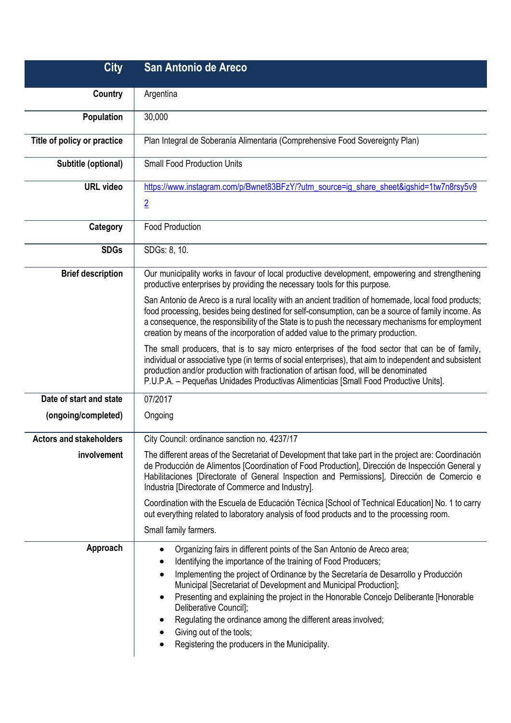| <b>City</b>                    | San Antonio de Areco                                                                                                                                                                                                                                                                                                                                                                                                                                                                                                                                                                                   |
|--------------------------------|--------------------------------------------------------------------------------------------------------------------------------------------------------------------------------------------------------------------------------------------------------------------------------------------------------------------------------------------------------------------------------------------------------------------------------------------------------------------------------------------------------------------------------------------------------------------------------------------------------|
| Country                        | Argentina                                                                                                                                                                                                                                                                                                                                                                                                                                                                                                                                                                                              |
| <b>Population</b>              | 30,000                                                                                                                                                                                                                                                                                                                                                                                                                                                                                                                                                                                                 |
| Title of policy or practice    | Plan Integral de Soberanía Alimentaria (Comprehensive Food Sovereignty Plan)                                                                                                                                                                                                                                                                                                                                                                                                                                                                                                                           |
| Subtitle (optional)            | <b>Small Food Production Units</b>                                                                                                                                                                                                                                                                                                                                                                                                                                                                                                                                                                     |
| <b>URL</b> video               | https://www.instagram.com/p/Bwnet83BFzY/?utm_source=ig_share_sheet&igshid=1tw7n8rsy5v9                                                                                                                                                                                                                                                                                                                                                                                                                                                                                                                 |
|                                | $\overline{2}$                                                                                                                                                                                                                                                                                                                                                                                                                                                                                                                                                                                         |
| Category                       | <b>Food Production</b>                                                                                                                                                                                                                                                                                                                                                                                                                                                                                                                                                                                 |
| <b>SDGs</b>                    | SDGs: 8, 10.                                                                                                                                                                                                                                                                                                                                                                                                                                                                                                                                                                                           |
| <b>Brief description</b>       | Our municipality works in favour of local productive development, empowering and strengthening<br>productive enterprises by providing the necessary tools for this purpose.                                                                                                                                                                                                                                                                                                                                                                                                                            |
|                                | San Antonio de Areco is a rural locality with an ancient tradition of homemade, local food products;<br>food processing, besides being destined for self-consumption, can be a source of family income. As<br>a consequence, the responsibility of the State is to push the necessary mechanisms for employment<br>creation by means of the incorporation of added value to the primary production.                                                                                                                                                                                                    |
|                                | The small producers, that is to say micro enterprises of the food sector that can be of family,<br>individual or associative type (in terms of social enterprises), that aim to independent and subsistent<br>production and/or production with fractionation of artisan food, will be denominated<br>P.U.P.A. - Pequeñas Unidades Productivas Alimenticias [Small Food Productive Units].                                                                                                                                                                                                             |
| Date of start and state        | 07/2017                                                                                                                                                                                                                                                                                                                                                                                                                                                                                                                                                                                                |
| (ongoing/completed)            | Ongoing                                                                                                                                                                                                                                                                                                                                                                                                                                                                                                                                                                                                |
| <b>Actors and stakeholders</b> | City Council: ordinance sanction no. 4237/17                                                                                                                                                                                                                                                                                                                                                                                                                                                                                                                                                           |
| involvement                    | The different areas of the Secretariat of Development that take part in the project are: Coordinación<br>de Producción de Alimentos [Coordination of Food Production], Dirección de Inspección General y<br>Habilitaciones [Directorate of General Inspection and Permissions], Dirección de Comercio e<br>Industria [Directorate of Commerce and Industry].                                                                                                                                                                                                                                           |
|                                | Coordination with the Escuela de Educación Técnica [School of Technical Education] No. 1 to carry<br>out everything related to laboratory analysis of food products and to the processing room.                                                                                                                                                                                                                                                                                                                                                                                                        |
|                                | Small family farmers.                                                                                                                                                                                                                                                                                                                                                                                                                                                                                                                                                                                  |
| Approach                       | Organizing fairs in different points of the San Antonio de Areco area;<br>$\bullet$<br>Identifying the importance of the training of Food Producers;<br>Implementing the project of Ordinance by the Secretaría de Desarrollo y Producción<br>$\bullet$<br>Municipal [Secretariat of Development and Municipal Production];<br>Presenting and explaining the project in the Honorable Concejo Deliberante [Honorable<br>٠<br>Deliberative Council];<br>Regulating the ordinance among the different areas involved;<br>Giving out of the tools;<br>٠<br>Registering the producers in the Municipality. |